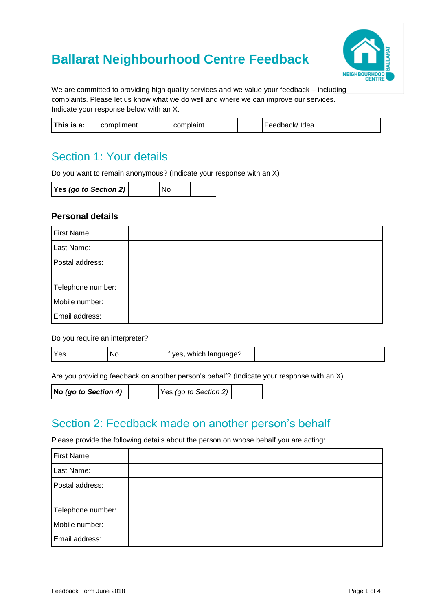# **Ballarat Neighbourhood Centre Feedback**



We are committed to providing high quality services and we value your feedback – including complaints. Please let us know what we do well and where we can improve our services. Indicate your response below with an X.

| This is a: | <br>omoliment |  | comn<br>$\sim$<br>י ווואוי. |  | Idea<br>•AANAACK/<br>seuvach/ |  |
|------------|---------------|--|-----------------------------|--|-------------------------------|--|
|------------|---------------|--|-----------------------------|--|-------------------------------|--|

## Section 1: Your details

Do you want to remain anonymous? (Indicate your response with an X)

| Yes (go to Section 2) |  | <b>No</b> |  |
|-----------------------|--|-----------|--|
|-----------------------|--|-----------|--|

### **Personal details**

| First Name:       |  |
|-------------------|--|
| Last Name:        |  |
| Postal address:   |  |
| Telephone number: |  |
| Mobile number:    |  |
| Email address:    |  |

#### Do you require an interpreter?

| Yes |  | N <sub>O</sub> |  | which<br><b>Ves</b><br>language |  |
|-----|--|----------------|--|---------------------------------|--|
|-----|--|----------------|--|---------------------------------|--|

Are you providing feedback on another person's behalf? (Indicate your response with an X)

| $Yes$ (go to Section 2)<br>$\vert$ No (go to Section 4) |
|---------------------------------------------------------|
|---------------------------------------------------------|

## Section 2: Feedback made on another person's behalf

Please provide the following details about the person on whose behalf you are acting:

| First Name:       |  |
|-------------------|--|
| Last Name:        |  |
| Postal address:   |  |
| Telephone number: |  |
| Mobile number:    |  |
| Email address:    |  |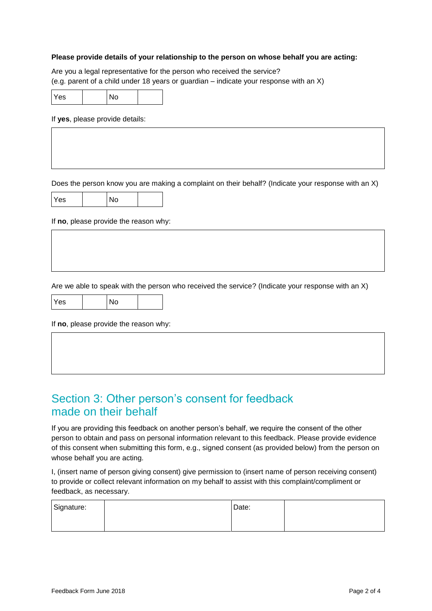#### **Please provide details of your relationship to the person on whose behalf you are acting:**

Are you a legal representative for the person who received the service? (e.g. parent of a child under 18 years or guardian – indicate your response with an X)

| Yes |  | No |  |
|-----|--|----|--|
|-----|--|----|--|

If **yes**, please provide details:

Does the person know you are making a complaint on their behalf? (Indicate your response with an X)

| res |  |  |  |
|-----|--|--|--|
|-----|--|--|--|

If **no**, please provide the reason why:

Are we able to speak with the person who received the service? (Indicate your response with an X)

| <b>Yes</b> |  |  |  |
|------------|--|--|--|
|------------|--|--|--|

If **no**, please provide the reason why:

### Section 3: Other person's consent for feedback made on their behalf

If you are providing this feedback on another person's behalf, we require the consent of the other person to obtain and pass on personal information relevant to this feedback. Please provide evidence of this consent when submitting this form, e.g., signed consent (as provided below) from the person on whose behalf you are acting.

I, (insert name of person giving consent) give permission to (insert name of person receiving consent) to provide or collect relevant information on my behalf to assist with this complaint/compliment or feedback, as necessary.

| Signature: | Date: |  |
|------------|-------|--|
|            |       |  |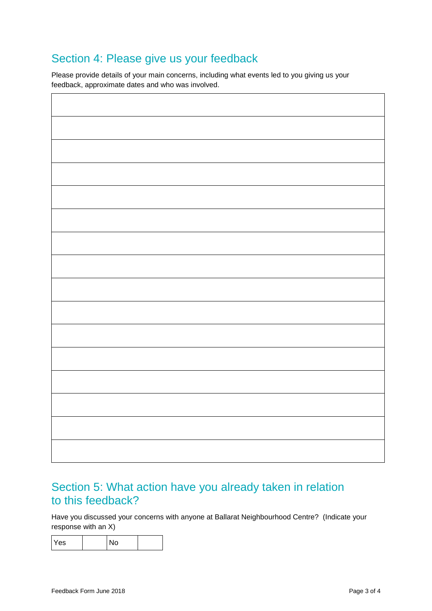## Section 4: Please give us your feedback

Please provide details of your main concerns, including what events led to you giving us your feedback, approximate dates and who was involved.

## Section 5: What action have you already taken in relation to this feedback?

Have you discussed your concerns with anyone at Ballarat Neighbourhood Centre? (Indicate your response with an X)

| Yes |  | N <sub>o</sub> |  |
|-----|--|----------------|--|
|-----|--|----------------|--|